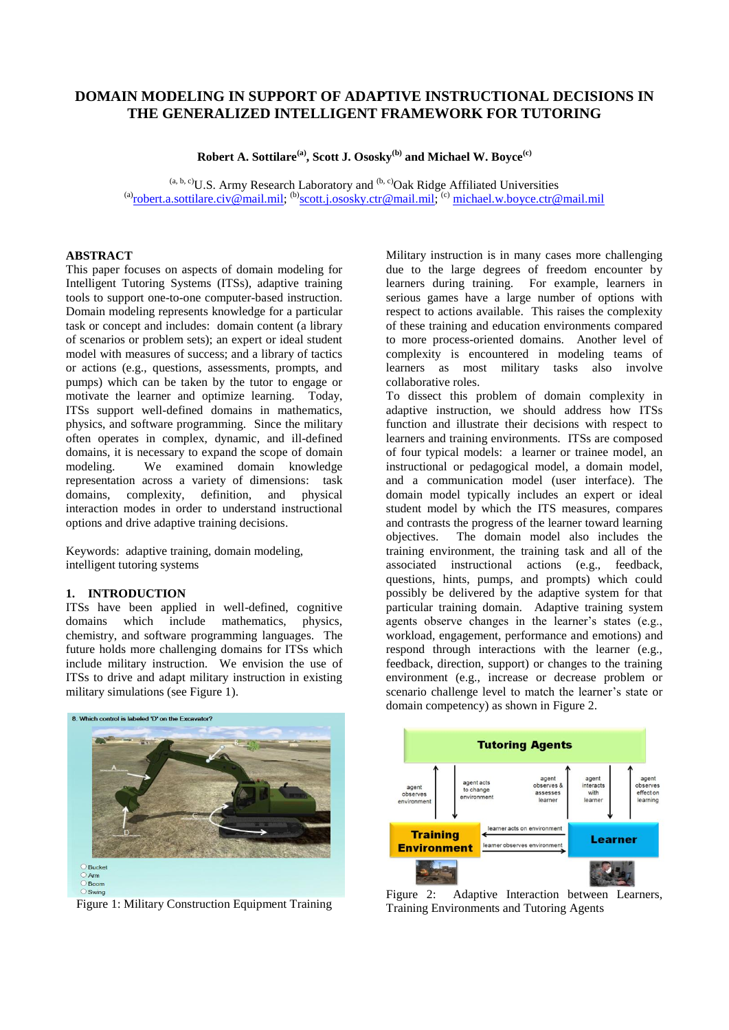# **DOMAIN MODELING IN SUPPORT OF ADAPTIVE INSTRUCTIONAL DECISIONS IN THE GENERALIZED INTELLIGENT FRAMEWORK FOR TUTORING**

**Robert A. Sottilare(a), Scott J. Ososky(b) and Michael W. Boyce(c)**

 $(a, b, c)$ U.S. Army Research Laboratory and  $(b, c)$ Oak Ridge Affiliated Universities (a)[robert.a.sottilare.civ@mail.mil;](mailto:robert.a.sottilare.civ@mail.mil)  $^{(b)}$ [scott.j.ososky.ctr@mail.mil;](mailto:scott.j.ososky.ctr@mail.mil)  $^{(c)}$  [michael.w.boyce.ctr@mail.mil](mailto:michael.w.boyce.ctr@mail.mil)

# **ABSTRACT**

This paper focuses on aspects of domain modeling for Intelligent Tutoring Systems (ITSs), adaptive training tools to support one-to-one computer-based instruction. Domain modeling represents knowledge for a particular task or concept and includes: domain content (a library of scenarios or problem sets); an expert or ideal student model with measures of success; and a library of tactics or actions (e.g., questions, assessments, prompts, and pumps) which can be taken by the tutor to engage or motivate the learner and optimize learning. Today, ITSs support well-defined domains in mathematics, physics, and software programming. Since the military often operates in complex, dynamic, and ill-defined domains, it is necessary to expand the scope of domain modeling. We examined domain knowledge representation across a variety of dimensions: task domains, complexity, definition, and physical interaction modes in order to understand instructional options and drive adaptive training decisions.

Keywords: adaptive training, domain modeling, intelligent tutoring systems

#### **1. INTRODUCTION**

ITSs have been applied in well-defined, cognitive domains which include mathematics, physics, chemistry, and software programming languages. The future holds more challenging domains for ITSs which include military instruction. We envision the use of ITSs to drive and adapt military instruction in existing military simulations (see Figure 1).

8. Which control is labeled 'D' on the Excavator? O Bucket<br>
O Arm O Boom  $\circ$  Swin

Figure 1: Military Construction Equipment Training

Military instruction is in many cases more challenging due to the large degrees of freedom encounter by learners during training. For example, learners in serious games have a large number of options with respect to actions available. This raises the complexity of these training and education environments compared to more process-oriented domains. Another level of complexity is encountered in modeling teams of learners as most military tasks also involve collaborative roles.

To dissect this problem of domain complexity in adaptive instruction, we should address how ITSs function and illustrate their decisions with respect to learners and training environments. ITSs are composed of four typical models: a learner or trainee model, an instructional or pedagogical model, a domain model, and a communication model (user interface). The domain model typically includes an expert or ideal student model by which the ITS measures, compares and contrasts the progress of the learner toward learning objectives. The domain model also includes the training environment, the training task and all of the associated instructional actions (e.g., feedback, questions, hints, pumps, and prompts) which could possibly be delivered by the adaptive system for that particular training domain. Adaptive training system agents observe changes in the learner's states (e.g., workload, engagement, performance and emotions) and respond through interactions with the learner (e.g., feedback, direction, support) or changes to the training environment (e.g., increase or decrease problem or scenario challenge level to match the learner's state or domain competency) as shown in Figure 2.



Figure 2: Adaptive Interaction between Learners, Training Environments and Tutoring Agents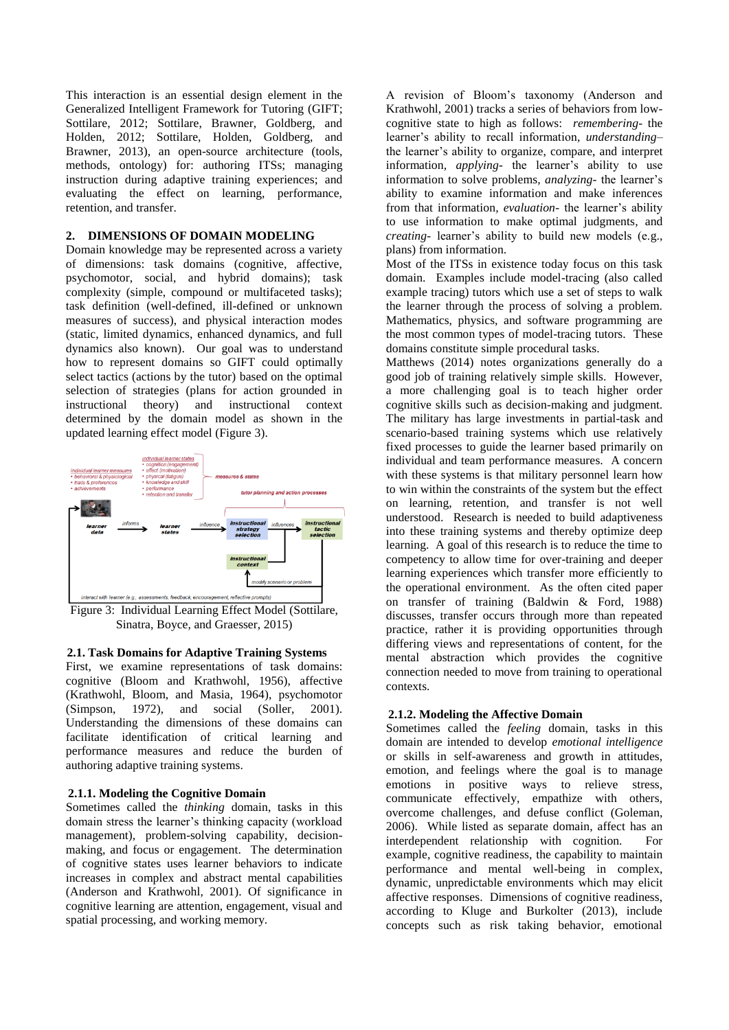This interaction is an essential design element in the Generalized Intelligent Framework for Tutoring (GIFT; Sottilare, 2012; Sottilare, Brawner, Goldberg, and Holden, 2012; Sottilare, Holden, Goldberg, and Brawner, 2013), an open-source architecture (tools, methods, ontology) for: authoring ITSs; managing instruction during adaptive training experiences; and evaluating the effect on learning, performance, retention, and transfer.

# **2. DIMENSIONS OF DOMAIN MODELING**

Domain knowledge may be represented across a variety of dimensions: task domains (cognitive, affective, psychomotor, social, and hybrid domains); task complexity (simple, compound or multifaceted tasks); task definition (well-defined, ill-defined or unknown measures of success), and physical interaction modes (static, limited dynamics, enhanced dynamics, and full dynamics also known). Our goal was to understand how to represent domains so GIFT could optimally select tactics (actions by the tutor) based on the optimal selection of strategies (plans for action grounded in instructional theory) and instructional context determined by the domain model as shown in the updated learning effect model (Figure 3).



Figure 3: Individual Learning Effect Model (Sottilare, Sinatra, Boyce, and Graesser, 2015)

### **2.1. Task Domains for Adaptive Training Systems**

First, we examine representations of task domains: cognitive (Bloom and Krathwohl, 1956), affective (Krathwohl, Bloom, and Masia, 1964), psychomotor (Simpson, 1972), and social (Soller, 2001). (Simpson, 1972), and social (Soller, 2001). Understanding the dimensions of these domains can facilitate identification of critical learning and performance measures and reduce the burden of authoring adaptive training systems.

### **2.1.1. Modeling the Cognitive Domain**

Sometimes called the *thinking* domain, tasks in this domain stress the learner's thinking capacity (workload management), problem-solving capability, decisionmaking, and focus or engagement. The determination of cognitive states uses learner behaviors to indicate increases in complex and abstract mental capabilities (Anderson and Krathwohl, 2001). Of significance in cognitive learning are attention, engagement, visual and spatial processing, and working memory.

A revision of Bloom's taxonomy (Anderson and Krathwohl, 2001) tracks a series of behaviors from lowcognitive state to high as follows: *remembering*- the learner's ability to recall information*, understanding–* the learner's ability to organize, compare, and interpret information*, applying-* the learner's ability to use information to solve problems*, analyzing-* the learner's ability to examine information and make inferences from that information*, evaluation-* the learner's ability to use information to make optimal judgments*,* and *creating-* learner's ability to build new models (e.g., plans) from information.

Most of the ITSs in existence today focus on this task domain. Examples include model-tracing (also called example tracing) tutors which use a set of steps to walk the learner through the process of solving a problem. Mathematics, physics, and software programming are the most common types of model-tracing tutors. These domains constitute simple procedural tasks.

Matthews (2014) notes organizations generally do a good job of training relatively simple skills. However, a more challenging goal is to teach higher order cognitive skills such as decision-making and judgment. The military has large investments in partial-task and scenario-based training systems which use relatively fixed processes to guide the learner based primarily on individual and team performance measures. A concern with these systems is that military personnel learn how to win within the constraints of the system but the effect on learning, retention, and transfer is not well understood. Research is needed to build adaptiveness into these training systems and thereby optimize deep learning. A goal of this research is to reduce the time to competency to allow time for over-training and deeper learning experiences which transfer more efficiently to the operational environment. As the often cited paper on transfer of training (Baldwin & Ford, 1988) discusses, transfer occurs through more than repeated practice, rather it is providing opportunities through differing views and representations of content, for the mental abstraction which provides the cognitive connection needed to move from training to operational contexts.

#### **2.1.2. Modeling the Affective Domain**

Sometimes called the *feeling* domain, tasks in this domain are intended to develop *emotional intelligence* or skills in self-awareness and growth in attitudes, emotion, and feelings where the goal is to manage emotions in positive ways to relieve stress, communicate effectively, empathize with others, overcome challenges, and defuse conflict (Goleman, 2006). While listed as separate domain, affect has an interdependent relationship with cognition. For example, cognitive readiness, the capability to maintain performance and mental well-being in complex, dynamic, unpredictable environments which may elicit affective responses. Dimensions of cognitive readiness, according to Kluge and Burkolter (2013), include concepts such as risk taking behavior, emotional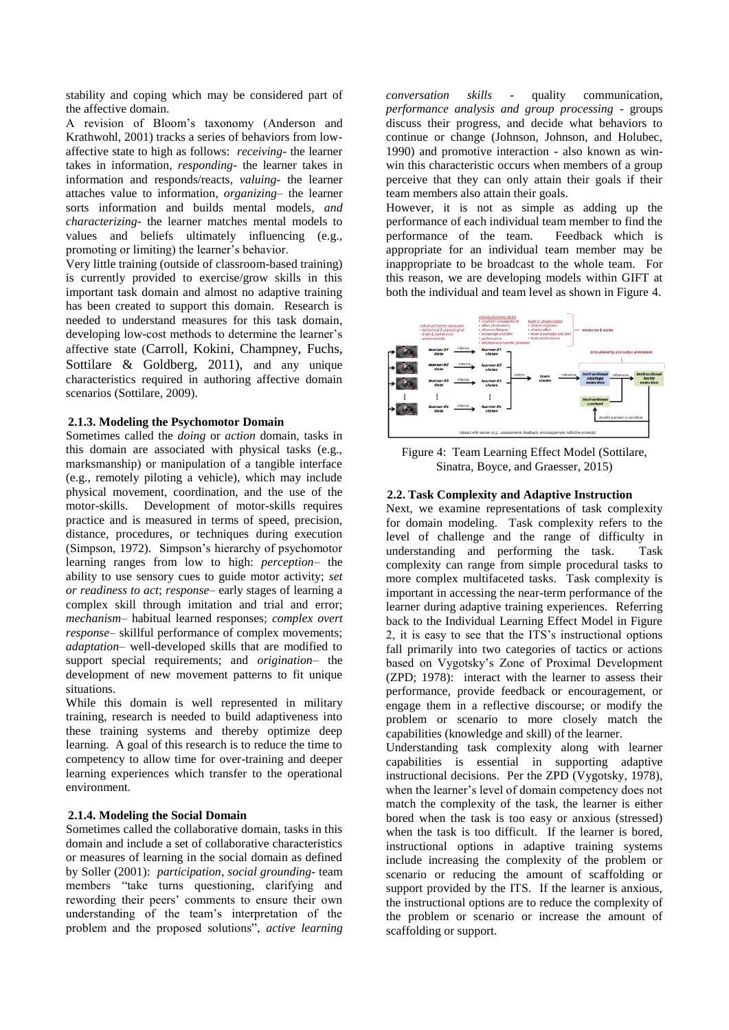stability and coping which may be considered part of the affective domain.

A revision of Bloom's taxonomy (Anderson and Krathwohl, 2001) tracks a series of behaviors from lowaffective state to high as follows: *receiving-* the learner takes in information*, responding-* the learner takes in information and responds/reacts*, valuing-* the learner attaches value to information*, organizing–* the learner sorts information and builds mental models*, and characterizing-* the learner matches mental models to values and beliefs ultimately influencing (e.g., promoting or limiting) the learner's behavior.

Very little training (outside of classroom-based training) is currently provided to exercise/grow skills in this important task domain and almost no adaptive training has been created to support this domain. Research is needed to understand measures for this task domain, developing low-cost methods to determine the learner's affective state (Carroll, Kokini, Champney, Fuchs, Sottilare & Goldberg, 2011), and any unique characteristics required in authoring affective domain scenarios (Sottilare, 2009).

#### **2.1.3. Modeling the Psychomotor Domain**

Sometimes called the *doing* or *action* domain, tasks in this domain are associated with physical tasks (e.g., marksmanship) or manipulation of a tangible interface (e.g., remotely piloting a vehicle), which may include physical movement, coordination, and the use of the motor-skills. Development of motor-skills requires practice and is measured in terms of speed, precision, distance, procedures, or techniques during execution (Simpson, 1972). Simpson's hierarchy of psychomotor learning ranges from low to high: *perception*– the ability to use sensory cues to guide motor activity; *set or readiness to act*; *response*– early stages of learning a complex skill through imitation and trial and error; *mechanism*– habitual learned responses; *complex overt response*– skillful performance of complex movements; *adaptation*– well-developed skills that are modified to support special requirements; and *origination*– the development of new movement patterns to fit unique situations.

While this domain is well represented in military training, research is needed to build adaptiveness into these training systems and thereby optimize deep learning. A goal of this research is to reduce the time to competency to allow time for over-training and deeper learning experiences which transfer to the operational environment.

### **2.1.4. Modeling the Social Domain**

Sometimes called the collaborative domain, tasks in this domain and include a set of collaborative characteristics or measures of learning in the social domain as defined by Soller (2001): *participation*, *social grounding-* team members "take turns questioning, clarifying and rewording their peers' comments to ensure their own understanding of the team's interpretation of the problem and the proposed solutions", *active learning* 

*conversation skills* - quality communication, *performance analysis and group processing* - groups discuss their progress, and decide what behaviors to continue or change (Johnson, Johnson, and Holubec, 1990) and promotive interaction - also known as winwin this characteristic occurs when members of a group perceive that they can only attain their goals if their team members also attain their goals.

However, it is not as simple as adding up the performance of each individual team member to find the performance of the team. Feedback which is appropriate for an individual team member may be inappropriate to be broadcast to the whole team. For this reason, we are developing models within GIFT at both the individual and team level as shown in Figure 4.



Figure 4: Team Learning Effect Model (Sottilare, Sinatra, Boyce, and Graesser, 2015)

# **2.2. Task Complexity and Adaptive Instruction**

Next, we examine representations of task complexity for domain modeling. Task complexity refers to the level of challenge and the range of difficulty in understanding and performing the task. Task complexity can range from simple procedural tasks to more complex multifaceted tasks. Task complexity is important in accessing the near-term performance of the learner during adaptive training experiences. Referring back to the Individual Learning Effect Model in Figure 2, it is easy to see that the ITS's instructional options fall primarily into two categories of tactics or actions based on Vygotsky's Zone of Proximal Development (ZPD; 1978): interact with the learner to assess their performance, provide feedback or encouragement, or engage them in a reflective discourse; or modify the problem or scenario to more closely match the capabilities (knowledge and skill) of the learner.

Understanding task complexity along with learner capabilities is essential in supporting adaptive instructional decisions. Per the ZPD (Vygotsky, 1978), when the learner's level of domain competency does not match the complexity of the task, the learner is either bored when the task is too easy or anxious (stressed) when the task is too difficult. If the learner is bored, instructional options in adaptive training systems include increasing the complexity of the problem or scenario or reducing the amount of scaffolding or support provided by the ITS. If the learner is anxious, the instructional options are to reduce the complexity of the problem or scenario or increase the amount of scaffolding or support.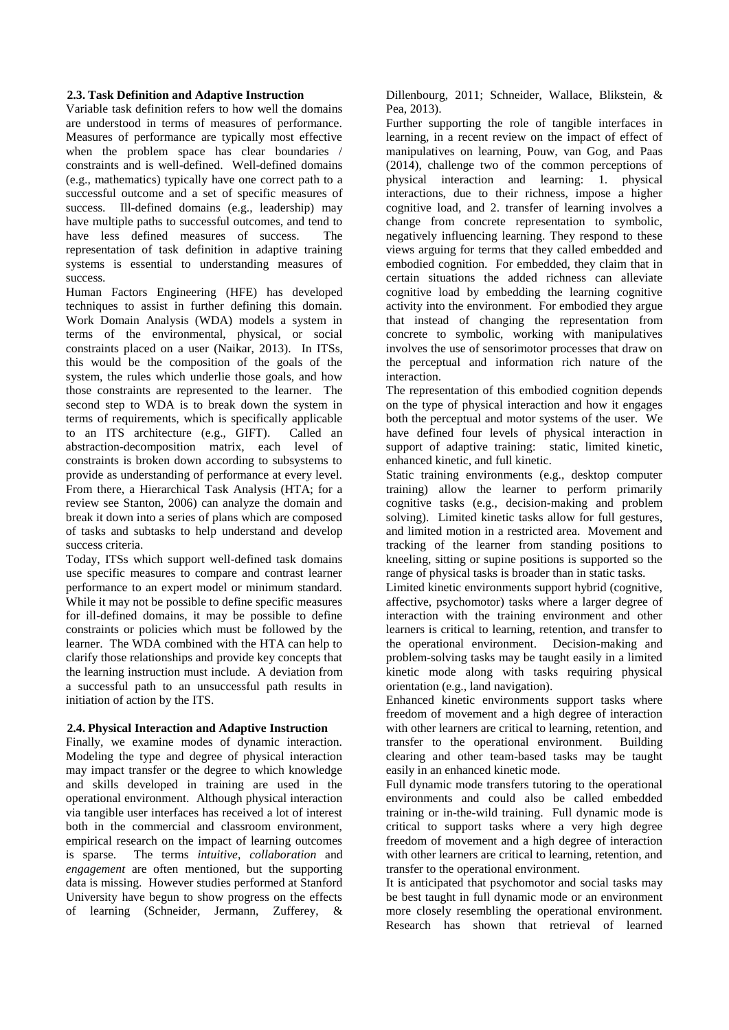### **2.3. Task Definition and Adaptive Instruction**

Variable task definition refers to how well the domains are understood in terms of measures of performance. Measures of performance are typically most effective when the problem space has clear boundaries / constraints and is well-defined. Well-defined domains (e.g., mathematics) typically have one correct path to a successful outcome and a set of specific measures of success. Ill-defined domains (e.g., leadership) may have multiple paths to successful outcomes, and tend to have less defined measures of success. The representation of task definition in adaptive training systems is essential to understanding measures of success.

Human Factors Engineering (HFE) has developed techniques to assist in further defining this domain. Work Domain Analysis (WDA) models a system in terms of the environmental, physical, or social constraints placed on a user (Naikar, 2013). In ITSs, this would be the composition of the goals of the system, the rules which underlie those goals, and how those constraints are represented to the learner. The second step to WDA is to break down the system in terms of requirements, which is specifically applicable to an ITS architecture (e.g., GIFT). Called an abstraction-decomposition matrix, each level of constraints is broken down according to subsystems to provide as understanding of performance at every level. From there, a Hierarchical Task Analysis (HTA; for a review see Stanton, 2006) can analyze the domain and break it down into a series of plans which are composed of tasks and subtasks to help understand and develop success criteria.

Today, ITSs which support well-defined task domains use specific measures to compare and contrast learner performance to an expert model or minimum standard. While it may not be possible to define specific measures for ill-defined domains, it may be possible to define constraints or policies which must be followed by the learner. The WDA combined with the HTA can help to clarify those relationships and provide key concepts that the learning instruction must include. A deviation from a successful path to an unsuccessful path results in initiation of action by the ITS.

#### **2.4. Physical Interaction and Adaptive Instruction**

Finally, we examine modes of dynamic interaction. Modeling the type and degree of physical interaction may impact transfer or the degree to which knowledge and skills developed in training are used in the operational environment. Although physical interaction via tangible user interfaces has received a lot of interest both in the commercial and classroom environment, empirical research on the impact of learning outcomes is sparse. The terms *intuitive*, *collaboration* and *engagement* are often mentioned, but the supporting data is missing. However studies performed at Stanford University have begun to show progress on the effects of learning (Schneider, Jermann, Zufferey, &

Dillenbourg, 2011; Schneider, Wallace, Blikstein, & Pea, 2013).

Further supporting the role of tangible interfaces in learning, in a recent review on the impact of effect of manipulatives on learning, Pouw, van Gog, and Paas (2014), challenge two of the common perceptions of physical interaction and learning: 1. physical interactions, due to their richness, impose a higher cognitive load, and 2. transfer of learning involves a change from concrete representation to symbolic, negatively influencing learning. They respond to these views arguing for terms that they called embedded and embodied cognition. For embedded, they claim that in certain situations the added richness can alleviate cognitive load by embedding the learning cognitive activity into the environment. For embodied they argue that instead of changing the representation from concrete to symbolic, working with manipulatives involves the use of sensorimotor processes that draw on the perceptual and information rich nature of the interaction.

The representation of this embodied cognition depends on the type of physical interaction and how it engages both the perceptual and motor systems of the user. We have defined four levels of physical interaction in support of adaptive training: static, limited kinetic, enhanced kinetic, and full kinetic.

Static training environments (e.g., desktop computer training) allow the learner to perform primarily cognitive tasks (e.g., decision-making and problem solving). Limited kinetic tasks allow for full gestures, and limited motion in a restricted area. Movement and tracking of the learner from standing positions to kneeling, sitting or supine positions is supported so the range of physical tasks is broader than in static tasks.

Limited kinetic environments support hybrid (cognitive, affective, psychomotor) tasks where a larger degree of interaction with the training environment and other learners is critical to learning, retention, and transfer to the operational environment. Decision-making and problem-solving tasks may be taught easily in a limited kinetic mode along with tasks requiring physical orientation (e.g., land navigation).

Enhanced kinetic environments support tasks where freedom of movement and a high degree of interaction with other learners are critical to learning, retention, and transfer to the operational environment. Building clearing and other team-based tasks may be taught easily in an enhanced kinetic mode.

Full dynamic mode transfers tutoring to the operational environments and could also be called embedded training or in-the-wild training. Full dynamic mode is critical to support tasks where a very high degree freedom of movement and a high degree of interaction with other learners are critical to learning, retention, and transfer to the operational environment.

It is anticipated that psychomotor and social tasks may be best taught in full dynamic mode or an environment more closely resembling the operational environment. Research has shown that retrieval of learned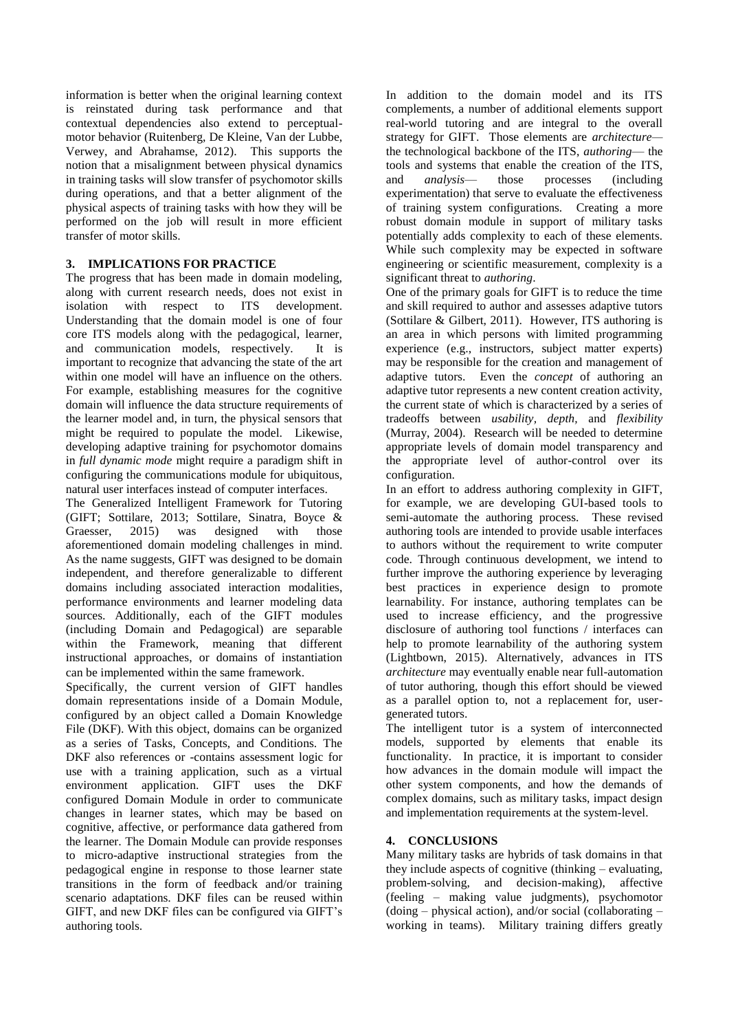information is better when the original learning context is reinstated during task performance and that contextual dependencies also extend to perceptualmotor behavior (Ruitenberg, De Kleine, Van der Lubbe, Verwey, and Abrahamse, 2012). This supports the notion that a misalignment between physical dynamics in training tasks will slow transfer of psychomotor skills during operations, and that a better alignment of the physical aspects of training tasks with how they will be performed on the job will result in more efficient transfer of motor skills.

# **3. IMPLICATIONS FOR PRACTICE**

The progress that has been made in domain modeling, along with current research needs, does not exist in isolation with respect to ITS development. Understanding that the domain model is one of four core ITS models along with the pedagogical, learner, and communication models, respectively. It is important to recognize that advancing the state of the art within one model will have an influence on the others. For example, establishing measures for the cognitive domain will influence the data structure requirements of the learner model and, in turn, the physical sensors that might be required to populate the model. Likewise, developing adaptive training for psychomotor domains in *full dynamic mode* might require a paradigm shift in configuring the communications module for ubiquitous, natural user interfaces instead of computer interfaces.

The Generalized Intelligent Framework for Tutoring (GIFT; Sottilare, 2013; Sottilare, Sinatra, Boyce & Graesser, 2015) was designed with those aforementioned domain modeling challenges in mind. As the name suggests, GIFT was designed to be domain independent, and therefore generalizable to different domains including associated interaction modalities, performance environments and learner modeling data sources. Additionally, each of the GIFT modules (including Domain and Pedagogical) are separable within the Framework, meaning that different instructional approaches, or domains of instantiation can be implemented within the same framework.

Specifically, the current version of GIFT handles domain representations inside of a Domain Module, configured by an object called a Domain Knowledge File (DKF). With this object, domains can be organized as a series of Tasks, Concepts, and Conditions. The DKF also references or -contains assessment logic for use with a training application, such as a virtual environment application. GIFT uses the DKF configured Domain Module in order to communicate changes in learner states, which may be based on cognitive, affective, or performance data gathered from the learner. The Domain Module can provide responses to micro-adaptive instructional strategies from the pedagogical engine in response to those learner state transitions in the form of feedback and/or training scenario adaptations. DKF files can be reused within GIFT, and new DKF files can be configured via GIFT's authoring tools.

In addition to the domain model and its ITS complements, a number of additional elements support real-world tutoring and are integral to the overall strategy for GIFT. Those elements are *architecture* the technological backbone of the ITS, *authoring*— the tools and systems that enable the creation of the ITS, and *analysis*— those processes (including experimentation) that serve to evaluate the effectiveness of training system configurations. Creating a more robust domain module in support of military tasks potentially adds complexity to each of these elements. While such complexity may be expected in software engineering or scientific measurement, complexity is a significant threat to *authoring*.

One of the primary goals for GIFT is to reduce the time and skill required to author and assesses adaptive tutors (Sottilare & Gilbert, 2011). However, ITS authoring is an area in which persons with limited programming experience (e.g., instructors, subject matter experts) may be responsible for the creation and management of adaptive tutors. Even the *concept* of authoring an adaptive tutor represents a new content creation activity, the current state of which is characterized by a series of tradeoffs between *usability, depth,* and *flexibility*  (Murray, 2004). Research will be needed to determine appropriate levels of domain model transparency and the appropriate level of author-control over its configuration.

In an effort to address authoring complexity in GIFT, for example, we are developing GUI-based tools to semi-automate the authoring process. These revised authoring tools are intended to provide usable interfaces to authors without the requirement to write computer code. Through continuous development, we intend to further improve the authoring experience by leveraging best practices in experience design to promote learnability. For instance, authoring templates can be used to increase efficiency, and the progressive disclosure of authoring tool functions / interfaces can help to promote learnability of the authoring system (Lightbown, 2015). Alternatively, advances in ITS *architecture* may eventually enable near full-automation of tutor authoring, though this effort should be viewed as a parallel option to, not a replacement for, usergenerated tutors.

The intelligent tutor is a system of interconnected models, supported by elements that enable its functionality. In practice, it is important to consider how advances in the domain module will impact the other system components, and how the demands of complex domains, such as military tasks, impact design and implementation requirements at the system-level.

# **4. CONCLUSIONS**

Many military tasks are hybrids of task domains in that they include aspects of cognitive (thinking – evaluating, problem-solving, and decision-making), affective (feeling – making value judgments), psychomotor (doing – physical action), and/or social (collaborating – working in teams). Military training differs greatly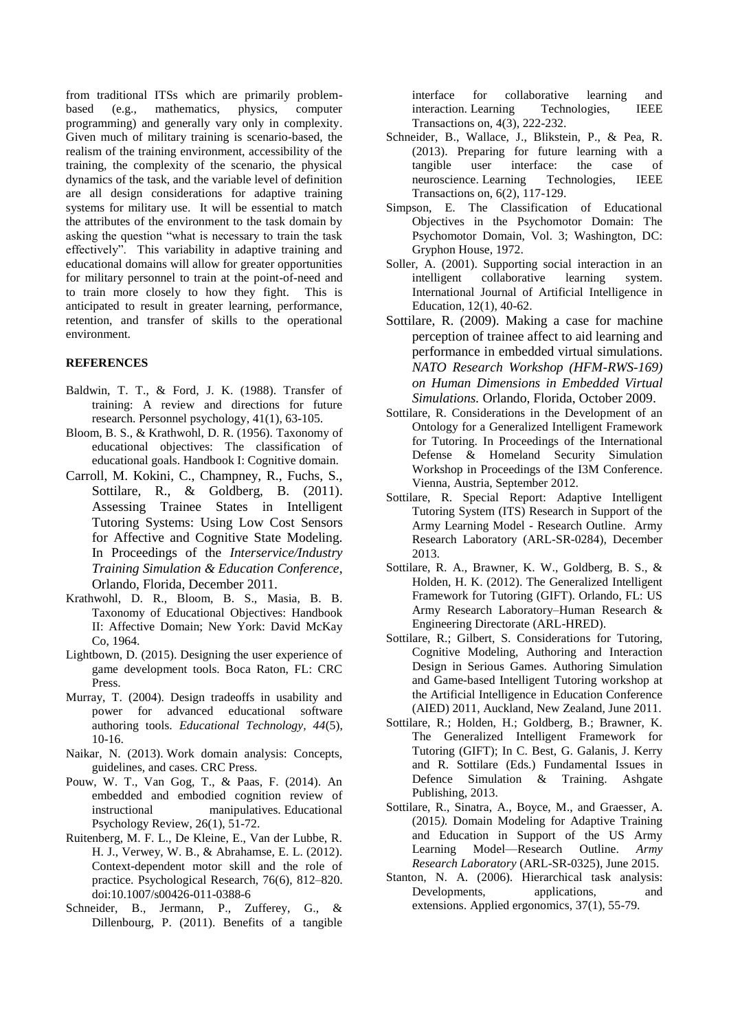from traditional ITSs which are primarily problembased (e.g., mathematics, physics, computer programming) and generally vary only in complexity. Given much of military training is scenario-based, the realism of the training environment, accessibility of the training, the complexity of the scenario, the physical dynamics of the task, and the variable level of definition are all design considerations for adaptive training systems for military use. It will be essential to match the attributes of the environment to the task domain by asking the question "what is necessary to train the task effectively". This variability in adaptive training and educational domains will allow for greater opportunities for military personnel to train at the point-of-need and to train more closely to how they fight. This is anticipated to result in greater learning, performance, retention, and transfer of skills to the operational environment.

#### **REFERENCES**

- Baldwin, T. T., & Ford, J. K. (1988). Transfer of training: A review and directions for future research. Personnel psychology, 41(1), 63-105.
- Bloom, B. S., & Krathwohl, D. R. (1956). Taxonomy of educational objectives: The classification of educational goals. Handbook I: Cognitive domain.
- Carroll, M. Kokini, C., Champney, R., Fuchs, S., Sottilare, R., & Goldberg, B. (2011). Assessing Trainee States in Intelligent Tutoring Systems: Using Low Cost Sensors for Affective and Cognitive State Modeling. In Proceedings of the *Interservice/Industry Training Simulation & Education Conference*, Orlando, Florida, December 2011.
- Krathwohl, D. R., Bloom, B. S., Masia, B. B. Taxonomy of Educational Objectives: Handbook II: Affective Domain; New York: David McKay Co, 1964.
- Lightbown, D. (2015). Designing the user experience of game development tools. Boca Raton, FL: CRC Press.
- Murray, T. (2004). Design tradeoffs in usability and power for advanced educational software authoring tools. *Educational Technology, 44*(5), 10-16.
- Naikar, N. (2013). Work domain analysis: Concepts, guidelines, and cases. CRC Press.
- Pouw, W. T., Van Gog, T., & Paas, F. (2014). An embedded and embodied cognition review of instructional manipulatives. Educational Psychology Review, 26(1), 51-72.
- Ruitenberg, M. F. L., De Kleine, E., Van der Lubbe, R. H. J., Verwey, W. B., & Abrahamse, E. L. (2012). Context-dependent motor skill and the role of practice. Psychological Research, 76(6), 812–820. doi:10.1007/s00426-011-0388-6
- Schneider, B., Jermann, P., Zufferey, G., & Dillenbourg, P. (2011). Benefits of a tangible

interface for collaborative learning and interaction. Learning Technologies, IEEE Transactions on, 4(3), 222-232.

- Schneider, B., Wallace, J., Blikstein, P., & Pea, R. (2013). Preparing for future learning with a tangible user interface: the case of neuroscience. Learning Technologies, IEEE Transactions on, 6(2), 117-129.
- Simpson, E. The Classification of Educational Objectives in the Psychomotor Domain: The Psychomotor Domain, Vol. 3; Washington, DC: Gryphon House, 1972.
- Soller, A. (2001). Supporting social interaction in an intelligent collaborative learning system. International Journal of Artificial Intelligence in Education, 12(1), 40-62.
- Sottilare, R. (2009). Making a case for machine perception of trainee affect to aid learning and performance in embedded virtual simulations. *NATO Research Workshop (HFM-RWS-169) on Human Dimensions in Embedded Virtual Simulations.* Orlando, Florida, October 2009.
- Sottilare, R. Considerations in the Development of an Ontology for a Generalized Intelligent Framework for Tutoring. In Proceedings of the International Defense & Homeland Security Simulation Workshop in Proceedings of the I3M Conference. Vienna, Austria, September 2012.
- Sottilare, R. Special Report: Adaptive Intelligent Tutoring System (ITS) Research in Support of the Army Learning Model - Research Outline. Army Research Laboratory (ARL-SR-0284), December 2013.
- Sottilare, R. A., Brawner, K. W., Goldberg, B. S., & Holden, H. K. (2012). The Generalized Intelligent Framework for Tutoring (GIFT). Orlando, FL: US Army Research Laboratory–Human Research & Engineering Directorate (ARL-HRED).
- Sottilare, R.; Gilbert, S. Considerations for Tutoring, Cognitive Modeling, Authoring and Interaction Design in Serious Games. Authoring Simulation and Game-based Intelligent Tutoring workshop at the Artificial Intelligence in Education Conference (AIED) 2011, Auckland, New Zealand, June 2011.
- Sottilare, R.; Holden, H.; Goldberg, B.; Brawner, K. The Generalized Intelligent Framework for Tutoring (GIFT); In C. Best, G. Galanis, J. Kerry and R. Sottilare (Eds.) Fundamental Issues in Defence Simulation & Training. Ashgate Publishing, 2013.
- Sottilare, R., Sinatra, A., Boyce, M., and Graesser, A. (2015*).* Domain Modeling for Adaptive Training and Education in Support of the US Army Learning Model—Research Outline. *Army Research Laboratory* (ARL-SR-0325), June 2015.
- Stanton, N. A. (2006). Hierarchical task analysis: Developments, applications, and extensions. Applied ergonomics, 37(1), 55-79.